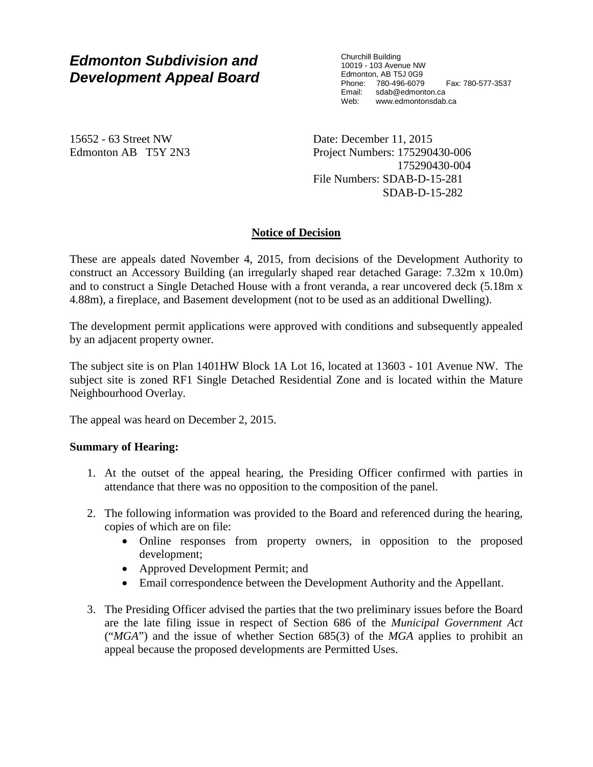# *Edmonton Subdivision and Development Appeal Board*

Churchill Building 10019 - 103 Avenue NW Edmonton, AB T5J 0G9 Phone: 780-496-6079 Fax: 780-577-3537 Email: sdab@edmonton.ca Web: www.edmontonsdab.ca

15652 - 63 Street NW Edmonton AB T5Y 2N3 Date: December 11, 2015 Project Numbers: 175290430-006 175290430-004 File Numbers: SDAB-D-15-281 SDAB-D-15-282

# **Notice of Decision**

These are appeals dated November 4, 2015, from decisions of the Development Authority to construct an Accessory Building (an irregularly shaped rear detached Garage: 7.32m x 10.0m) and to construct a Single Detached House with a front veranda, a rear uncovered deck (5.18m x 4.88m), a fireplace, and Basement development (not to be used as an additional Dwelling).

The development permit applications were approved with conditions and subsequently appealed by an adjacent property owner.

The subject site is on Plan 1401HW Block 1A Lot 16, located at 13603 - 101 Avenue NW. The subject site is zoned RF1 Single Detached Residential Zone and is located within the Mature Neighbourhood Overlay.

The appeal was heard on December 2, 2015.

# **Summary of Hearing:**

- 1. At the outset of the appeal hearing, the Presiding Officer confirmed with parties in attendance that there was no opposition to the composition of the panel.
- 2. The following information was provided to the Board and referenced during the hearing, copies of which are on file:
	- Online responses from property owners, in opposition to the proposed development;
	- Approved Development Permit; and
	- Email correspondence between the Development Authority and the Appellant.
- 3. The Presiding Officer advised the parties that the two preliminary issues before the Board are the late filing issue in respect of Section 686 of the *Municipal Government Act*  ("*MGA*") and the issue of whether Section 685(3) of the *MGA* applies to prohibit an appeal because the proposed developments are Permitted Uses.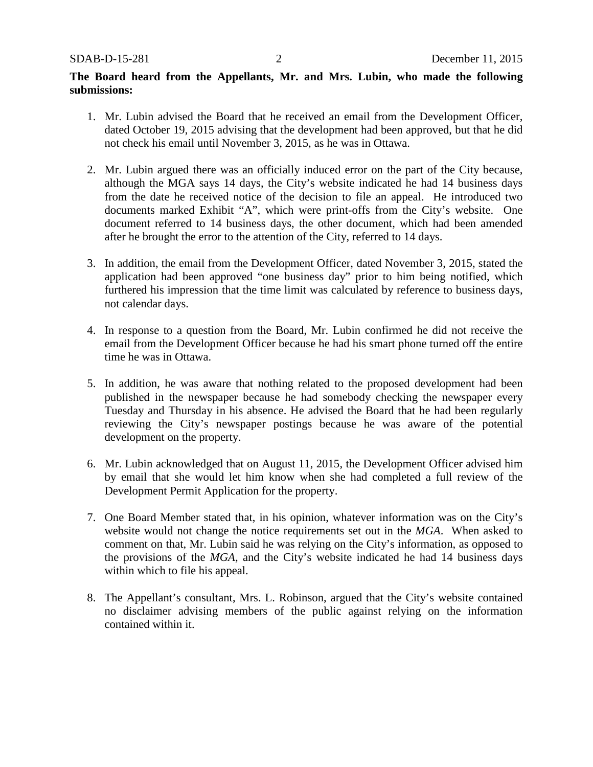# **The Board heard from the Appellants, Mr. and Mrs. Lubin, who made the following submissions:**

- 1. Mr. Lubin advised the Board that he received an email from the Development Officer, dated October 19, 2015 advising that the development had been approved, but that he did not check his email until November 3, 2015, as he was in Ottawa.
- 2. Mr. Lubin argued there was an officially induced error on the part of the City because, although the MGA says 14 days, the City's website indicated he had 14 business days from the date he received notice of the decision to file an appeal. He introduced two documents marked Exhibit "A", which were print-offs from the City's website. One document referred to 14 business days, the other document, which had been amended after he brought the error to the attention of the City, referred to 14 days.
- 3. In addition, the email from the Development Officer, dated November 3, 2015, stated the application had been approved "one business day" prior to him being notified, which furthered his impression that the time limit was calculated by reference to business days, not calendar days.
- 4. In response to a question from the Board, Mr. Lubin confirmed he did not receive the email from the Development Officer because he had his smart phone turned off the entire time he was in Ottawa.
- 5. In addition, he was aware that nothing related to the proposed development had been published in the newspaper because he had somebody checking the newspaper every Tuesday and Thursday in his absence. He advised the Board that he had been regularly reviewing the City's newspaper postings because he was aware of the potential development on the property.
- 6. Mr. Lubin acknowledged that on August 11, 2015, the Development Officer advised him by email that she would let him know when she had completed a full review of the Development Permit Application for the property.
- 7. One Board Member stated that, in his opinion, whatever information was on the City's website would not change the notice requirements set out in the *MGA*. When asked to comment on that, Mr. Lubin said he was relying on the City's information, as opposed to the provisions of the *MGA*, and the City's website indicated he had 14 business days within which to file his appeal.
- 8. The Appellant's consultant, Mrs. L. Robinson, argued that the City's website contained no disclaimer advising members of the public against relying on the information contained within it.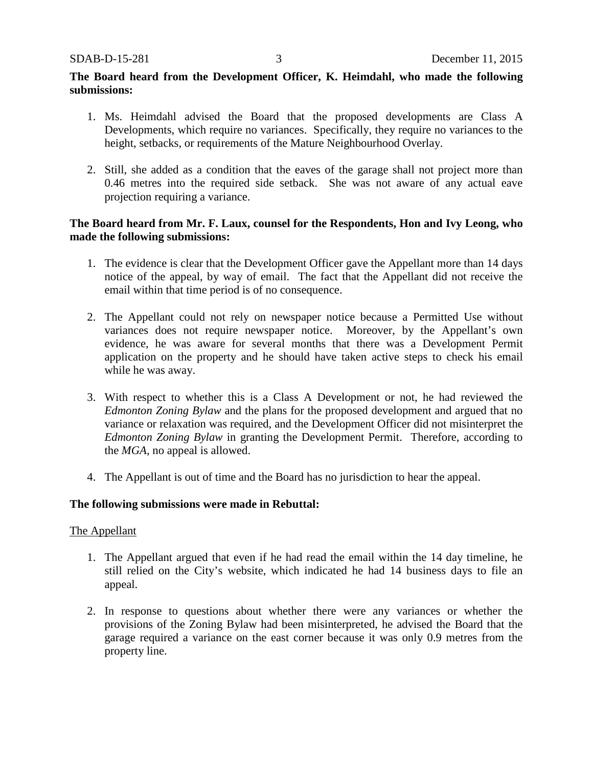# **The Board heard from the Development Officer, K. Heimdahl, who made the following submissions:**

- 1. Ms. Heimdahl advised the Board that the proposed developments are Class A Developments, which require no variances. Specifically, they require no variances to the height, setbacks, or requirements of the Mature Neighbourhood Overlay.
- 2. Still, she added as a condition that the eaves of the garage shall not project more than 0.46 metres into the required side setback. She was not aware of any actual eave projection requiring a variance.

# **The Board heard from Mr. F. Laux, counsel for the Respondents, Hon and Ivy Leong, who made the following submissions:**

- 1. The evidence is clear that the Development Officer gave the Appellant more than 14 days notice of the appeal, by way of email. The fact that the Appellant did not receive the email within that time period is of no consequence.
- 2. The Appellant could not rely on newspaper notice because a Permitted Use without variances does not require newspaper notice. Moreover, by the Appellant's own evidence, he was aware for several months that there was a Development Permit application on the property and he should have taken active steps to check his email while he was away.
- 3. With respect to whether this is a Class A Development or not, he had reviewed the *Edmonton Zoning Bylaw* and the plans for the proposed development and argued that no variance or relaxation was required, and the Development Officer did not misinterpret the *Edmonton Zoning Bylaw* in granting the Development Permit. Therefore, according to the *MGA*, no appeal is allowed.
- 4. The Appellant is out of time and the Board has no jurisdiction to hear the appeal.

#### **The following submissions were made in Rebuttal:**

#### The Appellant

- 1. The Appellant argued that even if he had read the email within the 14 day timeline, he still relied on the City's website, which indicated he had 14 business days to file an appeal.
- 2. In response to questions about whether there were any variances or whether the provisions of the Zoning Bylaw had been misinterpreted, he advised the Board that the garage required a variance on the east corner because it was only 0.9 metres from the property line.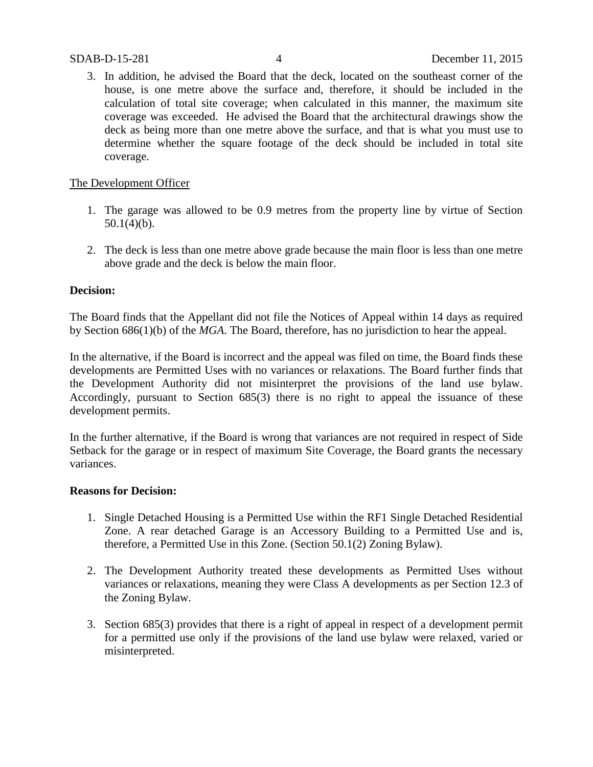3. In addition, he advised the Board that the deck, located on the southeast corner of the house, is one metre above the surface and, therefore, it should be included in the calculation of total site coverage; when calculated in this manner, the maximum site coverage was exceeded. He advised the Board that the architectural drawings show the deck as being more than one metre above the surface, and that is what you must use to determine whether the square footage of the deck should be included in total site coverage.

## The Development Officer

- 1. The garage was allowed to be 0.9 metres from the property line by virtue of Section  $50.1(4)(b)$ .
- 2. The deck is less than one metre above grade because the main floor is less than one metre above grade and the deck is below the main floor.

### **Decision:**

The Board finds that the Appellant did not file the Notices of Appeal within 14 days as required by Section 686(1)(b) of the *MGA*. The Board, therefore, has no jurisdiction to hear the appeal.

In the alternative, if the Board is incorrect and the appeal was filed on time, the Board finds these developments are Permitted Uses with no variances or relaxations. The Board further finds that the Development Authority did not misinterpret the provisions of the land use bylaw. Accordingly, pursuant to Section 685(3) there is no right to appeal the issuance of these development permits.

In the further alternative, if the Board is wrong that variances are not required in respect of Side Setback for the garage or in respect of maximum Site Coverage, the Board grants the necessary variances.

#### **Reasons for Decision:**

- 1. Single Detached Housing is a Permitted Use within the RF1 Single Detached Residential Zone. A rear detached Garage is an Accessory Building to a Permitted Use and is, therefore, a Permitted Use in this Zone. (Section 50.1(2) Zoning Bylaw).
- 2. The Development Authority treated these developments as Permitted Uses without variances or relaxations, meaning they were Class A developments as per Section 12.3 of the Zoning Bylaw.
- 3. Section 685(3) provides that there is a right of appeal in respect of a development permit for a permitted use only if the provisions of the land use bylaw were relaxed, varied or misinterpreted.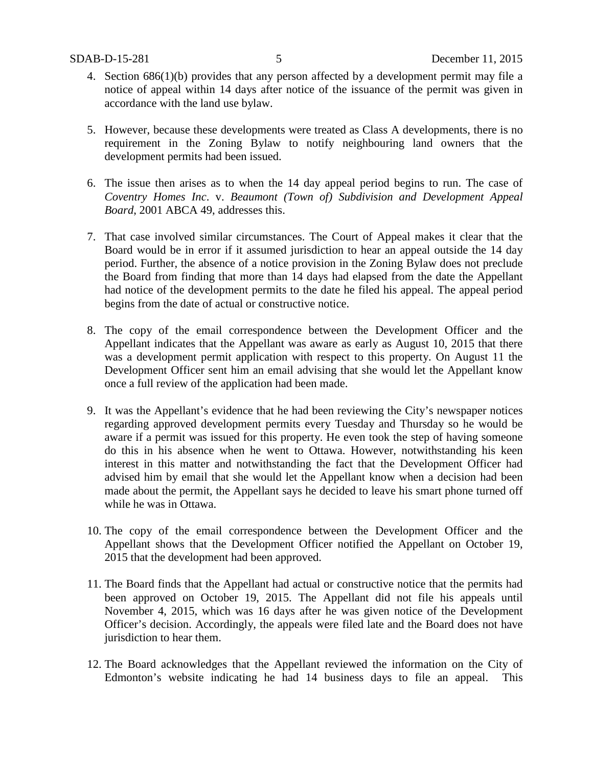- 4. Section 686(1)(b) provides that any person affected by a development permit may file a notice of appeal within 14 days after notice of the issuance of the permit was given in accordance with the land use bylaw.
- 5. However, because these developments were treated as Class A developments, there is no requirement in the Zoning Bylaw to notify neighbouring land owners that the development permits had been issued.
- 6. The issue then arises as to when the 14 day appeal period begins to run. The case of *Coventry Homes Inc*. v. *Beaumont (Town of) Subdivision and Development Appeal Board*, 2001 ABCA 49, addresses this.
- 7. That case involved similar circumstances. The Court of Appeal makes it clear that the Board would be in error if it assumed jurisdiction to hear an appeal outside the 14 day period. Further, the absence of a notice provision in the Zoning Bylaw does not preclude the Board from finding that more than 14 days had elapsed from the date the Appellant had notice of the development permits to the date he filed his appeal. The appeal period begins from the date of actual or constructive notice.
- 8. The copy of the email correspondence between the Development Officer and the Appellant indicates that the Appellant was aware as early as August 10, 2015 that there was a development permit application with respect to this property. On August 11 the Development Officer sent him an email advising that she would let the Appellant know once a full review of the application had been made.
- 9. It was the Appellant's evidence that he had been reviewing the City's newspaper notices regarding approved development permits every Tuesday and Thursday so he would be aware if a permit was issued for this property. He even took the step of having someone do this in his absence when he went to Ottawa. However, notwithstanding his keen interest in this matter and notwithstanding the fact that the Development Officer had advised him by email that she would let the Appellant know when a decision had been made about the permit, the Appellant says he decided to leave his smart phone turned off while he was in Ottawa.
- 10. The copy of the email correspondence between the Development Officer and the Appellant shows that the Development Officer notified the Appellant on October 19, 2015 that the development had been approved.
- 11. The Board finds that the Appellant had actual or constructive notice that the permits had been approved on October 19, 2015. The Appellant did not file his appeals until November 4, 2015, which was 16 days after he was given notice of the Development Officer's decision. Accordingly, the appeals were filed late and the Board does not have jurisdiction to hear them.
- 12. The Board acknowledges that the Appellant reviewed the information on the City of Edmonton's website indicating he had 14 business days to file an appeal. This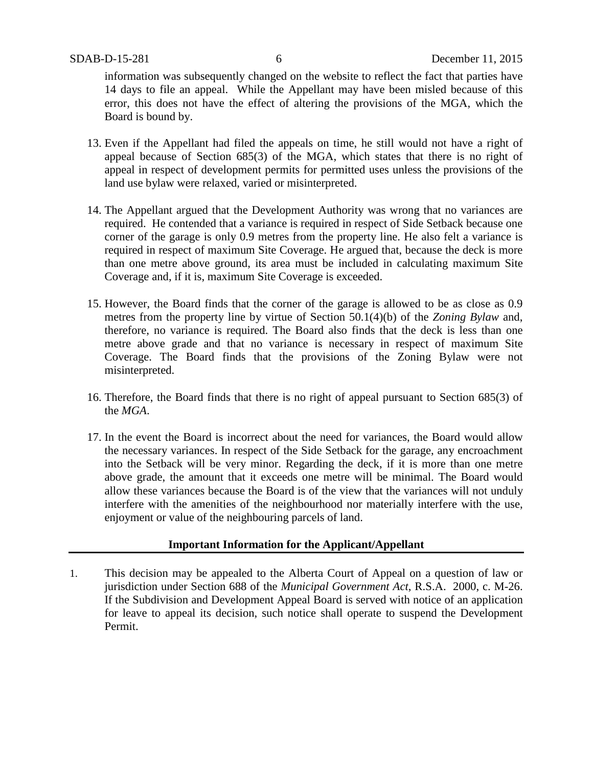information was subsequently changed on the website to reflect the fact that parties have 14 days to file an appeal. While the Appellant may have been misled because of this error, this does not have the effect of altering the provisions of the MGA, which the Board is bound by.

- 13. Even if the Appellant had filed the appeals on time, he still would not have a right of appeal because of Section 685(3) of the MGA, which states that there is no right of appeal in respect of development permits for permitted uses unless the provisions of the land use bylaw were relaxed, varied or misinterpreted.
- 14. The Appellant argued that the Development Authority was wrong that no variances are required. He contended that a variance is required in respect of Side Setback because one corner of the garage is only 0.9 metres from the property line. He also felt a variance is required in respect of maximum Site Coverage. He argued that, because the deck is more than one metre above ground, its area must be included in calculating maximum Site Coverage and, if it is, maximum Site Coverage is exceeded.
- 15. However, the Board finds that the corner of the garage is allowed to be as close as 0.9 metres from the property line by virtue of Section 50.1(4)(b) of the *Zoning Bylaw* and, therefore, no variance is required. The Board also finds that the deck is less than one metre above grade and that no variance is necessary in respect of maximum Site Coverage. The Board finds that the provisions of the Zoning Bylaw were not misinterpreted.
- 16. Therefore, the Board finds that there is no right of appeal pursuant to Section 685(3) of the *MGA*.
- 17. In the event the Board is incorrect about the need for variances, the Board would allow the necessary variances. In respect of the Side Setback for the garage, any encroachment into the Setback will be very minor. Regarding the deck, if it is more than one metre above grade, the amount that it exceeds one metre will be minimal. The Board would allow these variances because the Board is of the view that the variances will not unduly interfere with the amenities of the neighbourhood nor materially interfere with the use, enjoyment or value of the neighbouring parcels of land.

# **Important Information for the Applicant/Appellant**

1. This decision may be appealed to the Alberta Court of Appeal on a question of law or jurisdiction under Section 688 of the *Municipal Government Act*, R.S.A. 2000, c. M-26. If the Subdivision and Development Appeal Board is served with notice of an application for leave to appeal its decision, such notice shall operate to suspend the Development Permit.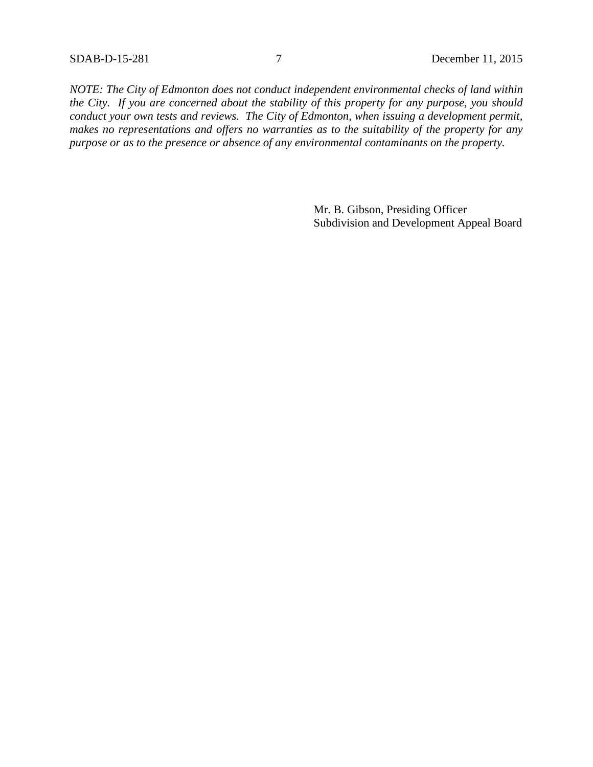*NOTE: The City of Edmonton does not conduct independent environmental checks of land within the City. If you are concerned about the stability of this property for any purpose, you should conduct your own tests and reviews. The City of Edmonton, when issuing a development permit, makes no representations and offers no warranties as to the suitability of the property for any purpose or as to the presence or absence of any environmental contaminants on the property.*

> Mr. B. Gibson, Presiding Officer Subdivision and Development Appeal Board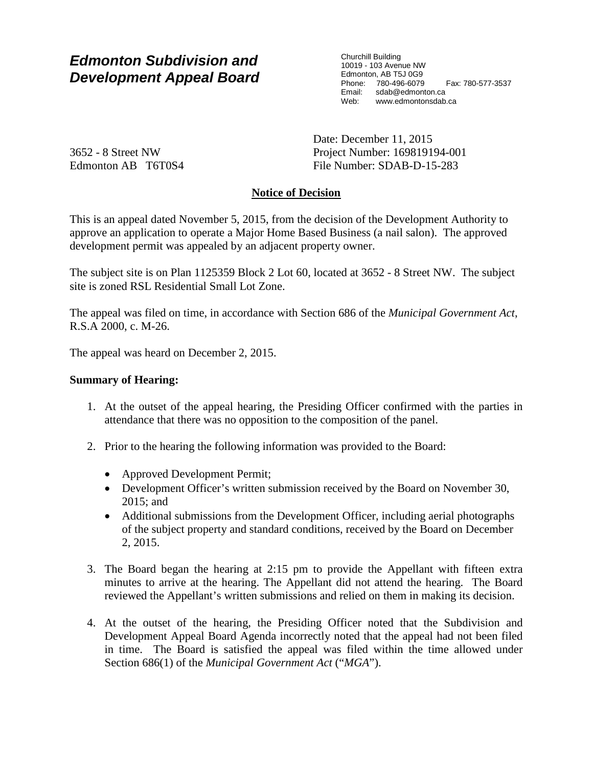# *Edmonton Subdivision and Development Appeal Board*

Churchill Building 10019 - 103 Avenue NW Edmonton, AB T5J 0G9 Phone: 780-496-6079 Fax: 780-577-3537 Email: sdab@edmonton.ca Web: www.edmontonsdab.ca

3652 - 8 Street NW Edmonton AB T6T0S4 Date: December 11, 2015 Project Number: 169819194-001 File Number: SDAB-D-15-283

# **Notice of Decision**

This is an appeal dated November 5, 2015, from the decision of the Development Authority to approve an application to operate a Major Home Based Business (a nail salon). The approved development permit was appealed by an adjacent property owner.

The subject site is on Plan 1125359 Block 2 Lot 60, located at 3652 - 8 Street NW. The subject site is zoned RSL Residential Small Lot Zone.

The appeal was filed on time, in accordance with Section 686 of the *Municipal Government Act*, R.S.A 2000, c. M-26.

The appeal was heard on December 2, 2015.

# **Summary of Hearing:**

- 1. At the outset of the appeal hearing, the Presiding Officer confirmed with the parties in attendance that there was no opposition to the composition of the panel.
- 2. Prior to the hearing the following information was provided to the Board:
	- Approved Development Permit;
	- Development Officer's written submission received by the Board on November 30, 2015; and
	- Additional submissions from the Development Officer, including aerial photographs of the subject property and standard conditions, received by the Board on December 2, 2015.
- 3. The Board began the hearing at 2:15 pm to provide the Appellant with fifteen extra minutes to arrive at the hearing. The Appellant did not attend the hearing. The Board reviewed the Appellant's written submissions and relied on them in making its decision.
- 4. At the outset of the hearing, the Presiding Officer noted that the Subdivision and Development Appeal Board Agenda incorrectly noted that the appeal had not been filed in time. The Board is satisfied the appeal was filed within the time allowed under Section 686(1) of the *Municipal Government Act* ("*MGA*").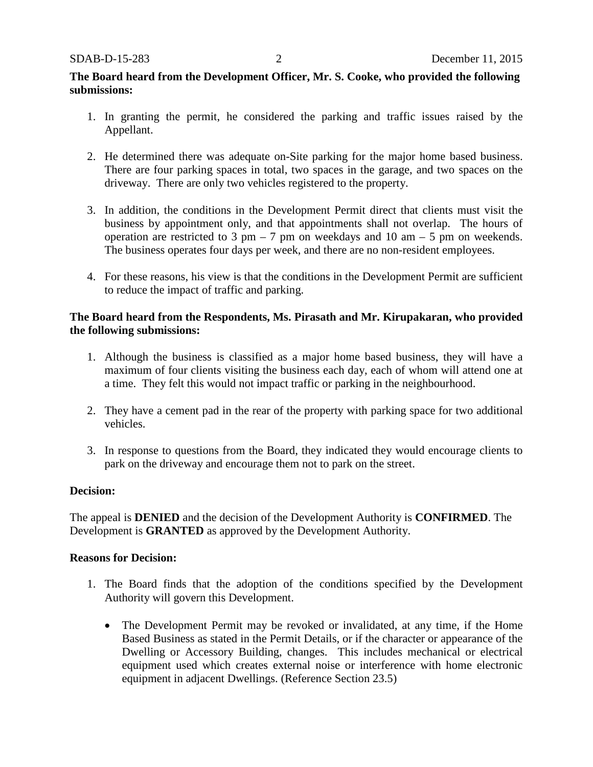# **The Board heard from the Development Officer, Mr. S. Cooke, who provided the following submissions:**

- 1. In granting the permit, he considered the parking and traffic issues raised by the Appellant.
- 2. He determined there was adequate on-Site parking for the major home based business. There are four parking spaces in total, two spaces in the garage, and two spaces on the driveway. There are only two vehicles registered to the property.
- 3. In addition, the conditions in the Development Permit direct that clients must visit the business by appointment only, and that appointments shall not overlap. The hours of operation are restricted to 3 pm – 7 pm on weekdays and 10 am – 5 pm on weekends. The business operates four days per week, and there are no non-resident employees.
- 4. For these reasons, his view is that the conditions in the Development Permit are sufficient to reduce the impact of traffic and parking.

# **The Board heard from the Respondents, Ms. Pirasath and Mr. Kirupakaran, who provided the following submissions:**

- 1. Although the business is classified as a major home based business, they will have a maximum of four clients visiting the business each day, each of whom will attend one at a time. They felt this would not impact traffic or parking in the neighbourhood.
- 2. They have a cement pad in the rear of the property with parking space for two additional vehicles.
- 3. In response to questions from the Board, they indicated they would encourage clients to park on the driveway and encourage them not to park on the street.

# **Decision:**

The appeal is **DENIED** and the decision of the Development Authority is **CONFIRMED**. The Development is **GRANTED** as approved by the Development Authority.

#### **Reasons for Decision:**

- 1. The Board finds that the adoption of the conditions specified by the Development Authority will govern this Development.
	- The Development Permit may be revoked or invalidated, at any time, if the Home Based Business as stated in the Permit Details, or if the character or appearance of the Dwelling or Accessory Building, changes. This includes mechanical or electrical equipment used which creates external noise or interference with home electronic equipment in adjacent Dwellings. (Reference Section 23.5)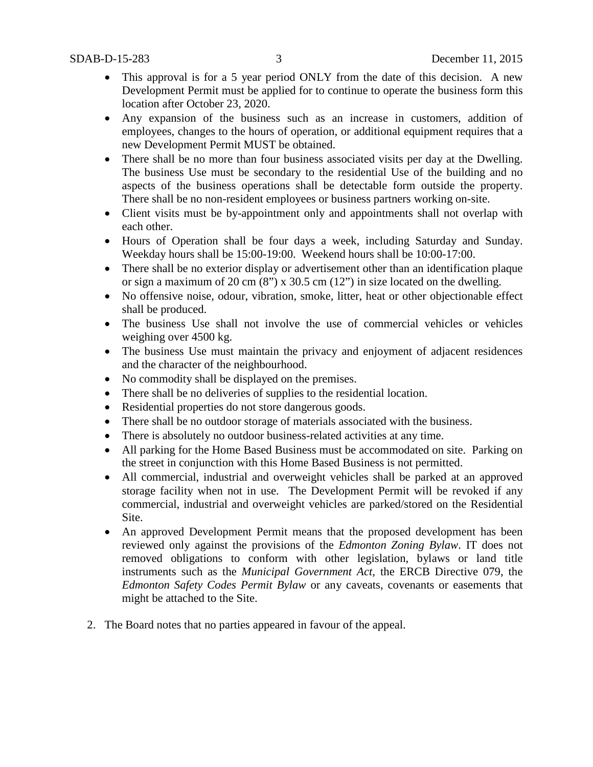- This approval is for a 5 year period ONLY from the date of this decision. A new Development Permit must be applied for to continue to operate the business form this location after October 23, 2020.
- Any expansion of the business such as an increase in customers, addition of employees, changes to the hours of operation, or additional equipment requires that a new Development Permit MUST be obtained.
- There shall be no more than four business associated visits per day at the Dwelling. The business Use must be secondary to the residential Use of the building and no aspects of the business operations shall be detectable form outside the property. There shall be no non-resident employees or business partners working on-site.
- Client visits must be by-appointment only and appointments shall not overlap with each other.
- Hours of Operation shall be four days a week, including Saturday and Sunday. Weekday hours shall be 15:00-19:00. Weekend hours shall be 10:00-17:00.
- There shall be no exterior display or advertisement other than an identification plaque or sign a maximum of 20 cm  $(8)$ " x 30.5 cm  $(12)$ " in size located on the dwelling.
- No offensive noise, odour, vibration, smoke, litter, heat or other objectionable effect shall be produced.
- The business Use shall not involve the use of commercial vehicles or vehicles weighing over 4500 kg.
- The business Use must maintain the privacy and enjoyment of adjacent residences and the character of the neighbourhood.
- No commodity shall be displayed on the premises.
- There shall be no deliveries of supplies to the residential location.
- Residential properties do not store dangerous goods.
- There shall be no outdoor storage of materials associated with the business.
- There is absolutely no outdoor business-related activities at any time.
- All parking for the Home Based Business must be accommodated on site. Parking on the street in conjunction with this Home Based Business is not permitted.
- All commercial, industrial and overweight vehicles shall be parked at an approved storage facility when not in use. The Development Permit will be revoked if any commercial, industrial and overweight vehicles are parked/stored on the Residential Site.
- An approved Development Permit means that the proposed development has been reviewed only against the provisions of the *Edmonton Zoning Bylaw*. IT does not removed obligations to conform with other legislation, bylaws or land title instruments such as the *Municipal Government Act*, the ERCB Directive 079, the *Edmonton Safety Codes Permit Bylaw* or any caveats, covenants or easements that might be attached to the Site.
- 2. The Board notes that no parties appeared in favour of the appeal.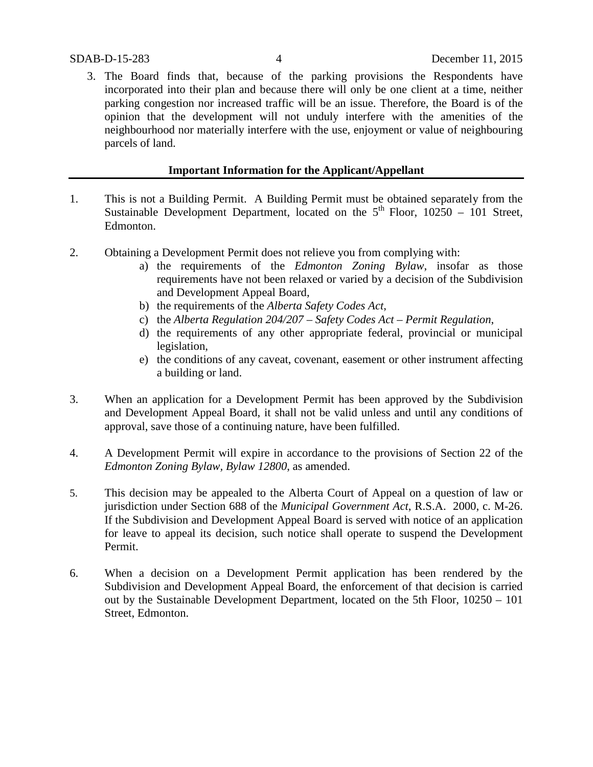3. The Board finds that, because of the parking provisions the Respondents have incorporated into their plan and because there will only be one client at a time, neither parking congestion nor increased traffic will be an issue. Therefore, the Board is of the opinion that the development will not unduly interfere with the amenities of the neighbourhood nor materially interfere with the use, enjoyment or value of neighbouring parcels of land.

# **Important Information for the Applicant/Appellant**

- 1. This is not a Building Permit. A Building Permit must be obtained separately from the Sustainable Development Department, located on the  $5<sup>th</sup>$  Floor, 10250 – 101 Street, Edmonton.
- 2. Obtaining a Development Permit does not relieve you from complying with:
	- a) the requirements of the *Edmonton Zoning Bylaw*, insofar as those requirements have not been relaxed or varied by a decision of the Subdivision and Development Appeal Board,
	- b) the requirements of the *Alberta Safety Codes Act*,
	- c) the *Alberta Regulation 204/207 – Safety Codes Act – Permit Regulation*,
	- d) the requirements of any other appropriate federal, provincial or municipal legislation,
	- e) the conditions of any caveat, covenant, easement or other instrument affecting a building or land.
- 3. When an application for a Development Permit has been approved by the Subdivision and Development Appeal Board, it shall not be valid unless and until any conditions of approval, save those of a continuing nature, have been fulfilled.
- 4. A Development Permit will expire in accordance to the provisions of Section 22 of the *Edmonton Zoning Bylaw, Bylaw 12800*, as amended.
- 5. This decision may be appealed to the Alberta Court of Appeal on a question of law or jurisdiction under Section 688 of the *Municipal Government Act*, R.S.A. 2000, c. M-26. If the Subdivision and Development Appeal Board is served with notice of an application for leave to appeal its decision, such notice shall operate to suspend the Development Permit.
- 6. When a decision on a Development Permit application has been rendered by the Subdivision and Development Appeal Board, the enforcement of that decision is carried out by the Sustainable Development Department, located on the 5th Floor, 10250 – 101 Street, Edmonton.